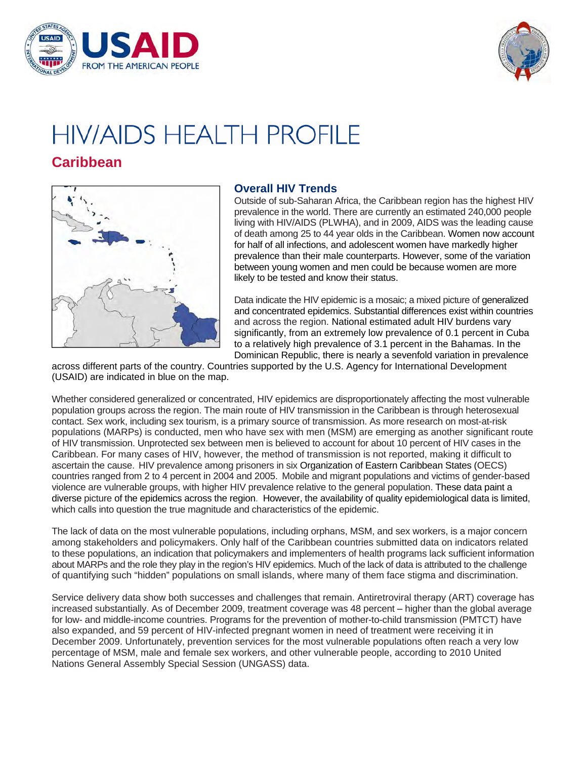



# **HIV/AIDS HEALTH PROFILE**

# **Caribbean**



## **Overall HIV Trends**

 prevalence in the world. There are currently an estimated 240,000 people of death among 25 to 44 year olds in the Caribbean. Women now account Outside of sub-Saharan Africa, the Caribbean region has the highest HIV living with HIV/AIDS (PLWHA), and in 2009, AIDS was the leading cause for half of all infections, and adolescent women have markedly higher prevalence than their male counterparts. However, some of the variation between young women and men could be because women are more likely to be tested and know their status.

Data indicate the HIV epidemic is a mosaic; a mixed picture of generalized and concentrated epidemics. Substantial differences exist within countries and across the region. National estimated adult HIV burdens vary significantly, from an extremely low prevalence of 0.1 percent in Cuba to a relatively high prevalence of 3.1 percent in the Bahamas. In the Dominican Republic, there is nearly a sevenfold variation in prevalence

across different parts of the country. Countries supported by the U.S. Agency for International Development (USAID) are indicated in blue on the map.

 diverse picture of the epidemics across the region. However, the availability of quality epidemiological data is limited, which calls into question the true magnitude and characteristics of the epidemic. Whether considered generalized or concentrated, HIV epidemics are disproportionately affecting the most vulnerable population groups across the region. The main route of HIV transmission in the Caribbean is through heterosexual contact. Sex work, including sex tourism, is a primary source of transmission. As more research on most-at-risk populations (MARPs) is conducted, men who have sex with men (MSM) are emerging as another significant route of HIV transmission. Unprotected sex between men is believed to account for about 10 percent of HIV cases in the Caribbean. For many cases of HIV, however, the method of transmission is not reported, making it difficult to ascertain the cause. HIV prevalence among prisoners in six Organization of Eastern Caribbean States (OECS) countries ranged from 2 to 4 percent in 2004 and 2005. Mobile and migrant populations and victims of gender-based violence are vulnerable groups, with higher HIV prevalence relative to the general population. These data paint a

 The lack of data on the most vulnerable populations, including orphans, MSM, and sex workers, is a major concern among stakeholders and policymakers. Only half of the Caribbean countries submitted data on indicators related to these populations, an indication that policymakers and implementers of health programs lack sufficient information about MARPs and the role they play in the region's HIV epidemics. Much of the lack of data is attributed to the challenge of quantifying such "hidden" populations on small islands, where many of them face stigma and discrimination.

 for low- and middle-income countries. Programs for the prevention of mother-to-child transmission (PMTCT) have Service delivery data show both successes and challenges that remain. Antiretroviral therapy (ART) coverage has increased substantially. As of December 2009, treatment coverage was 48 percent – higher than the global average also expanded, and 59 percent of HIV-infected pregnant women in need of treatment were receiving it in December 2009. Unfortunately, prevention services for the most vulnerable populations often reach a very low percentage of MSM, male and female sex workers, and other vulnerable people, according to 2010 United Nations General Assembly Special Session (UNGASS) data.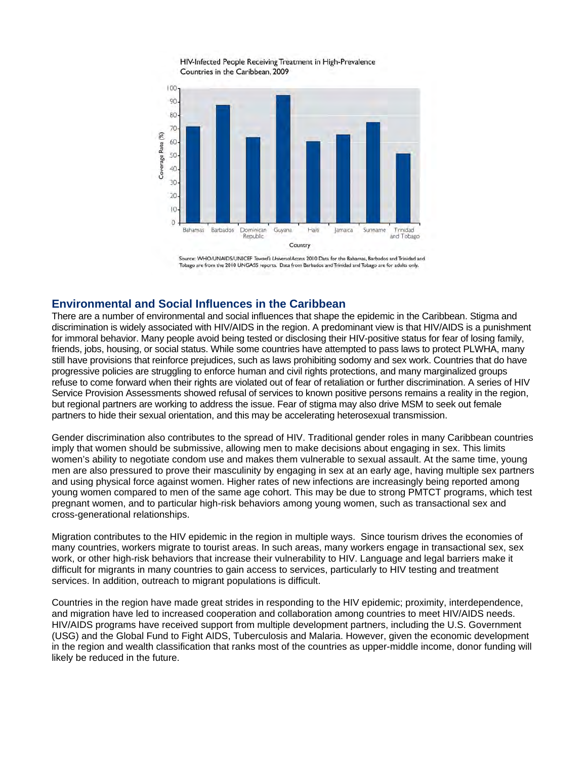HIV-Infected People Receiving Treatment in High-Prevalence Countries in the Caribbean, 2009



Source: WHO/UNAIDS/UNICEF Toward's Universal Access 2010 Data for the Bahamas, Barbados and Trinidad and Tobago are from the 2010 UNGASS reports. Data from Barbados and Trinidad and Tobago are for adults only.

#### **Environmental and Social Influences in the Caribbean**

 There are a number of environmental and social influences that shape the epidemic in the Caribbean. Stigma and discrimination is widely associated with HIV/AIDS in the region. A predominant view is that HIV/AIDS is a punishment for immoral behavior. Many people avoid being tested or disclosing their HIV-positive status for fear of losing family, friends, jobs, housing, or social status. While some countries have attempted to pass laws to protect PLWHA, many still have provisions that reinforce prejudices, such as laws prohibiting sodomy and sex work. Countries that do have refuse to come forward when their rights are violated out of fear of retaliation or further discrimination. A series of HIV progressive policies are struggling to enforce human and civil rights protections, and many marginalized groups Service Provision Assessments showed refusal of services to known positive persons remains a reality in the region, but regional partners are working to address the issue. Fear of stigma may also drive MSM to seek out female partners to hide their sexual orientation, and this may be accelerating heterosexual transmission.

Gender discrimination also contributes to the spread of HIV. Traditional gender roles in many Caribbean countries imply that women should be submissive, allowing men to make decisions about engaging in sex. This limits women's ability to negotiate condom use and makes them vulnerable to sexual assault. At the same time, young men are also pressured to prove their masculinity by engaging in sex at an early age, having multiple sex partners and using physical force against women. Higher rates of new infections are increasingly being reported among young women compared to men of the same age cohort. This may be due to strong PMTCT programs, which test pregnant women, and to particular high-risk behaviors among young women, such as transactional sex and cross-generational relationships.

Migration contributes to the HIV epidemic in the region in multiple ways. Since tourism drives the economies of many countries, workers migrate to tourist areas. In such areas, many workers engage in transactional sex, sex work, or other high-risk behaviors that increase their vulnerability to HIV. Language and legal barriers make it difficult for migrants in many countries to gain access to services, particularly to HIV testing and treatment services. In addition, outreach to migrant populations is difficult.

Countries in the region have made great strides in responding to the HIV epidemic; proximity, interdependence, and migration have led to increased cooperation and collaboration among countries to meet HIV/AIDS needs. HIV/AIDS programs have received support from multiple development partners, including the U.S. Government (USG) and the Global Fund to Fight AIDS, Tuberculosis and Malaria. However, given the economic development in the region and wealth classification that ranks most of the countries as upper-middle income, donor funding will likely be reduced in the future.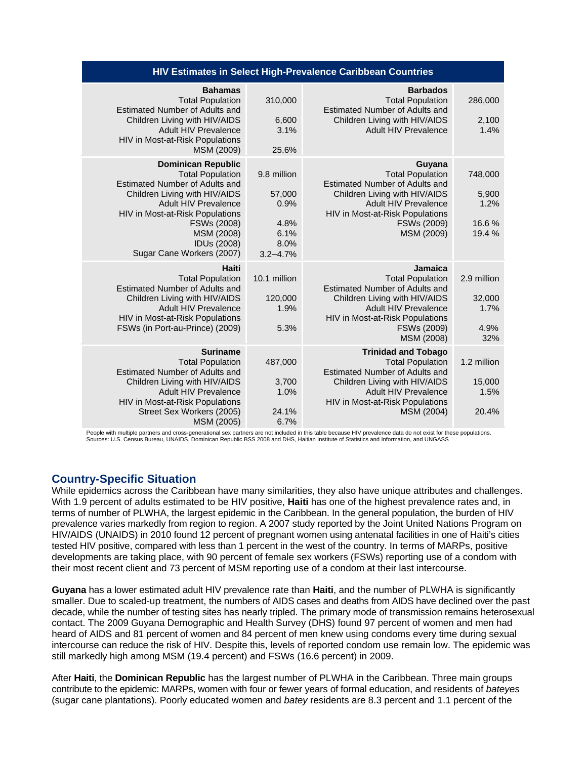| <b>HIV Estimates in Select High-Prevalence Caribbean Countries</b>                                                                                                                                                                                                        |                                                                       |                                                                                                                                                                                                             |                                              |
|---------------------------------------------------------------------------------------------------------------------------------------------------------------------------------------------------------------------------------------------------------------------------|-----------------------------------------------------------------------|-------------------------------------------------------------------------------------------------------------------------------------------------------------------------------------------------------------|----------------------------------------------|
| <b>Bahamas</b><br><b>Total Population</b><br><b>Estimated Number of Adults and</b><br>Children Living with HIV/AIDS<br>Adult HIV Prevalence<br>HIV in Most-at-Risk Populations<br>MSM (2009)                                                                              | 310,000<br>6,600<br>3.1%<br>25.6%                                     | <b>Barbados</b><br><b>Total Population</b><br><b>Estimated Number of Adults and</b><br>Children Living with HIV/AIDS<br>Adult HIV Prevalence                                                                | 286,000<br>2,100<br>1.4%                     |
| <b>Dominican Republic</b><br><b>Total Population</b><br><b>Estimated Number of Adults and</b><br>Children Living with HIV/AIDS<br><b>Adult HIV Prevalence</b><br>HIV in Most-at-Risk Populations<br>FSWs (2008)<br>MSM (2008)<br>IDUs (2008)<br>Sugar Cane Workers (2007) | 9.8 million<br>57,000<br>0.9%<br>4.8%<br>6.1%<br>8.0%<br>$3.2 - 4.7%$ | Guyana<br><b>Total Population</b><br><b>Estimated Number of Adults and</b><br>Children Living with HIV/AIDS<br><b>Adult HIV Prevalence</b><br>HIV in Most-at-Risk Populations<br>FSWs (2009)<br>MSM (2009)  | 748,000<br>5,900<br>1.2%<br>16.6%<br>19.4 %  |
| Haiti<br><b>Total Population</b><br><b>Estimated Number of Adults and</b><br>Children Living with HIV/AIDS<br><b>Adult HIV Prevalence</b><br>HIV in Most-at-Risk Populations<br>FSWs (in Port-au-Prince) (2009)                                                           | 10.1 million<br>120,000<br>1.9%<br>5.3%                               | Jamaica<br><b>Total Population</b><br><b>Estimated Number of Adults and</b><br>Children Living with HIV/AIDS<br><b>Adult HIV Prevalence</b><br>HIV in Most-at-Risk Populations<br>FSWs (2009)<br>MSM (2008) | 2.9 million<br>32,000<br>1.7%<br>4.9%<br>32% |
| <b>Suriname</b><br><b>Total Population</b><br>Estimated Number of Adults and<br>Children Living with HIV/AIDS<br>Adult HIV Prevalence<br>HIV in Most-at-Risk Populations<br>Street Sex Workers (2005)<br>MSM (2005)                                                       | 487,000<br>3,700<br>1.0%<br>24.1%<br>6.7%                             | <b>Trinidad and Tobago</b><br><b>Total Population</b><br>Estimated Number of Adults and<br>Children Living with HIV/AIDS<br>Adult HIV Prevalence<br>HIV in Most-at-Risk Populations<br>MSM (2004)           | 1.2 million<br>15,000<br>1.5%<br>20.4%       |

People with multiple partners and cross-generational sex partners are not included in this table because HIV prevalence data do not exist for these populations. Sources: U.S. Census Bureau, UNAIDS, Dominican Republic BSS 2008 and DHS, Haitian Institute of Statistics and Information, and UNGASS

# **Country-Specific Situation**

 tested HIV positive, compared with less than 1 percent in the west of the country. In terms of MARPs, positive While epidemics across the Caribbean have many similarities, they also have unique attributes and challenges. With 1.9 percent of adults estimated to be HIV positive, **Haiti** has one of the highest prevalence rates and, in terms of number of PLWHA, the largest epidemic in the Caribbean. In the general population, the burden of HIV prevalence varies markedly from region to region. A 2007 study reported by the Joint United Nations Program on HIV/AIDS (UNAIDS) in 2010 found 12 percent of pregnant women using antenatal facilities in one of Haiti's cities developments are taking place, with 90 percent of female sex workers (FSWs) reporting use of a condom with their most recent client and 73 percent of MSM reporting use of a condom at their last intercourse.

 smaller. Due to scaled-up treatment, the numbers of AIDS cases and deaths from AIDS have declined over the past heard of AIDS and 81 percent of women and 84 percent of men knew using condoms every time during sexual **Guyana** has a lower estimated adult HIV prevalence rate than **Haiti**, and the number of PLWHA is significantly decade, while the number of testing sites has nearly tripled. The primary mode of transmission remains heterosexual contact. The 2009 Guyana Demographic and Health Survey (DHS) found 97 percent of women and men had intercourse can reduce the risk of HIV. Despite this, levels of reported condom use remain low. The epidemic was still markedly high among MSM (19.4 percent) and FSWs (16.6 percent) in 2009.

 contribute to the epidemic: MARPs, women with four or fewer years of formal education, and residents of *bateyes*  After **Haiti**, the **Dominican Republic** has the largest number of PLWHA in the Caribbean. Three main groups (sugar cane plantations). Poorly educated women and *batey* residents are 8.3 percent and 1.1 percent of the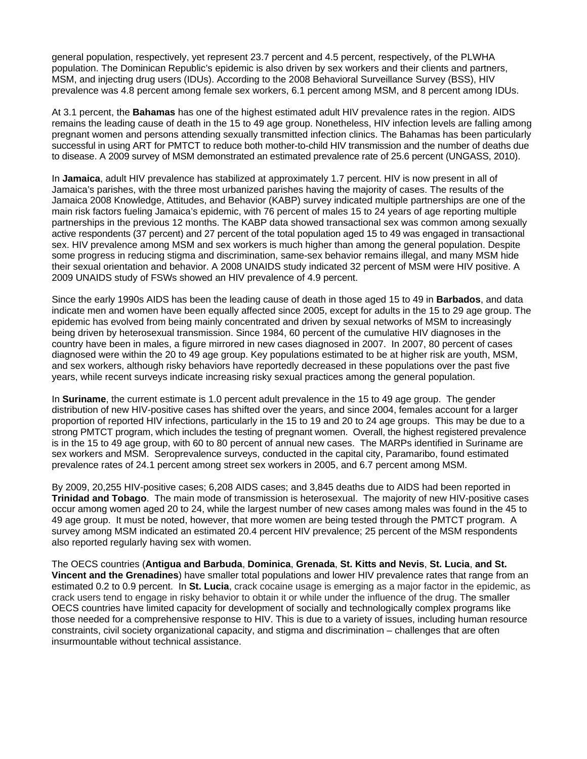general population, respectively, yet represent 23.7 percent and 4.5 percent, respectively, of the PLWHA population. The Dominican Republic's epidemic is also driven by sex workers and their clients and partners, MSM, and injecting drug users (IDUs). According to the 2008 Behavioral Surveillance Survey (BSS), HIV prevalence was 4.8 percent among female sex workers, 6.1 percent among MSM, and 8 percent among IDUs.

At 3.1 percent, the **Bahamas** has one of the highest estimated adult HIV prevalence rates in the region. AIDS remains the leading cause of death in the 15 to 49 age group. Nonetheless, HIV infection levels are falling among pregnant women and persons attending sexually transmitted infection clinics. The Bahamas has been particularly successful in using ART for PMTCT to reduce both mother-to-child HIV transmission and the number of deaths due to disease. A 2009 survey of MSM demonstrated an estimated prevalence rate of 25.6 percent (UNGASS, 2010).

In **Jamaica**, adult HIV prevalence has stabilized at approximately 1.7 percent. HIV is now present in all of Jamaica's parishes, with the three most urbanized parishes having the majority of cases. The results of the Jamaica 2008 Knowledge, Attitudes, and Behavior (KABP) survey indicated multiple partnerships are one of the main risk factors fueling Jamaica's epidemic, with 76 percent of males 15 to 24 years of age reporting multiple partnerships in the previous 12 months. The KABP data showed transactional sex was common among sexually active respondents (37 percent) and 27 percent of the total population aged 15 to 49 was engaged in transactional sex. HIV prevalence among MSM and sex workers is much higher than among the general population. Despite some progress in reducing stigma and discrimination, same-sex behavior remains illegal, and many MSM hide their sexual orientation and behavior. A 2008 UNAIDS study indicated 32 percent of MSM were HIV positive. A 2009 UNAIDS study of FSWs showed an HIV prevalence of 4.9 percent.

Since the early 1990s AIDS has been the leading cause of death in those aged 15 to 49 in **Barbados**, and data indicate men and women have been equally affected since 2005, except for adults in the 15 to 29 age group. The epidemic has evolved from being mainly concentrated and driven by sexual networks of MSM to increasingly being driven by heterosexual transmission. Since 1984, 60 percent of the cumulative HIV diagnoses in the country have been in males, a figure mirrored in new cases diagnosed in 2007. In 2007, 80 percent of cases diagnosed were within the 20 to 49 age group. Key populations estimated to be at higher risk are youth, MSM, and sex workers, although risky behaviors have reportedly decreased in these populations over the past five years, while recent surveys indicate increasing risky sexual practices among the general population.

In **Suriname**, the current estimate is 1.0 percent adult prevalence in the 15 to 49 age group. The gender distribution of new HIV-positive cases has shifted over the years, and since 2004, females account for a larger proportion of reported HIV infections, particularly in the 15 to 19 and 20 to 24 age groups. This may be due to a strong PMTCT program, which includes the testing of pregnant women. Overall, the highest registered prevalence is in the 15 to 49 age group, with 60 to 80 percent of annual new cases. The MARPs identified in Suriname are sex workers and MSM. Seroprevalence surveys, conducted in the capital city, Paramaribo, found estimated prevalence rates of 24.1 percent among street sex workers in 2005, and 6.7 percent among MSM.

 **Trinidad and Tobago**. The main mode of transmission is heterosexual. The majority of new HIV-positive cases By 2009, 20,255 HIV-positive cases; 6,208 AIDS cases; and 3,845 deaths due to AIDS had been reported in occur among women aged 20 to 24, while the largest number of new cases among males was found in the 45 to 49 age group. It must be noted, however, that more women are being tested through the PMTCT program. A survey among MSM indicated an estimated 20.4 percent HIV prevalence; 25 percent of the MSM respondents also reported regularly having sex with women.

The OECS countries (**Antigua and Barbuda**, **Dominica**, **Grenada**, **St. Kitts and Nevis**, **St. Lucia**, **and St. Vincent and the Grenadines**) have smaller total populations and lower HIV prevalence rates that range from an estimated 0.2 to 0.9 percent. In **St. Lucia**, crack cocaine usage is emerging as a major factor in the epidemic, as crack users tend to engage in risky behavior to obtain it or while under the influence of the drug. The smaller OECS countries have limited capacity for development of socially and technologically complex programs like those needed for a comprehensive response to HIV. This is due to a variety of issues, including human resource constraints, civil society organizational capacity, and stigma and discrimination – challenges that are often insurmountable without technical assistance.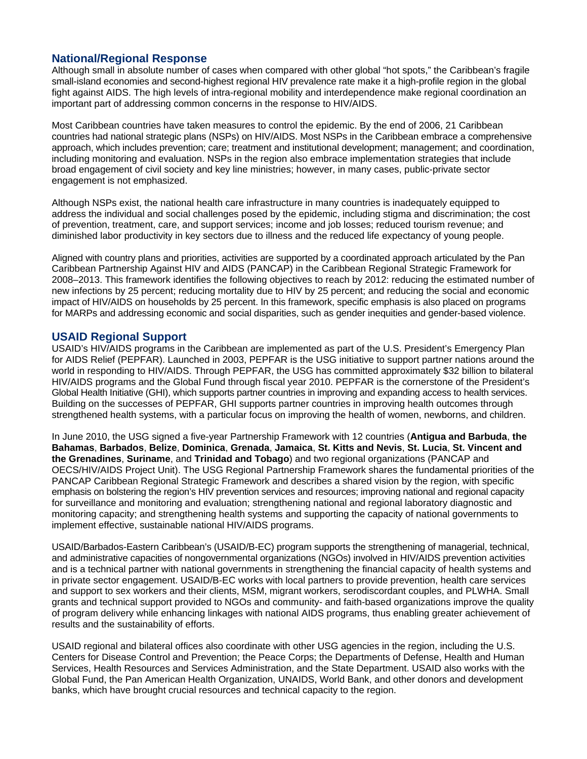### **National/Regional Response**

Although small in absolute number of cases when compared with other global "hot spots," the Caribbean's fragile small-island economies and second-highest regional HIV prevalence rate make it a high-profile region in the global fight against AIDS. The high levels of intra-regional mobility and interdependence make regional coordination an important part of addressing common concerns in the response to HIV/AIDS.

Most Caribbean countries have taken measures to control the epidemic. By the end of 2006, 21 Caribbean countries had national strategic plans (NSPs) on HIV/AIDS. Most NSPs in the Caribbean embrace a comprehensive approach, which includes prevention; care; treatment and institutional development; management; and coordination, including monitoring and evaluation. NSPs in the region also embrace implementation strategies that include broad engagement of civil society and key line ministries; however, in many cases, public-private sector engagement is not emphasized.

Although NSPs exist, the national health care infrastructure in many countries is inadequately equipped to address the individual and social challenges posed by the epidemic, including stigma and discrimination; the cost of prevention, treatment, care, and support services; income and job losses; reduced tourism revenue; and diminished labor productivity in key sectors due to illness and the reduced life expectancy of young people.

Aligned with country plans and priorities, activities are supported by a coordinated approach articulated by the Pan Caribbean Partnership Against HIV and AIDS (PANCAP) in the Caribbean Regional Strategic Framework for 2008–2013. This framework identifies the following objectives to reach by 2012: reducing the estimated number of new infections by 25 percent; reducing mortality due to HIV by 25 percent; and reducing the social and economic impact of HIV/AIDS on households by 25 percent. In this framework, specific emphasis is also placed on programs for MARPs and addressing economic and social disparities, such as gender inequities and gender-based violence.

#### **USAID Regional Support**

 Global Health Initiative (GHI), which supports partner countries in improving and expanding access to health services. USAID's HIV/AIDS programs in the Caribbean are implemented as part of the U.S. President's Emergency Plan for AIDS Relief (PEPFAR). Launched in 2003, PEPFAR is the USG initiative to support partner nations around the world in responding to HIV/AIDS. Through PEPFAR, the USG has committed approximately \$32 billion to bilateral HIV/AIDS programs and the Global Fund through fiscal year 2010. PEPFAR is the cornerstone of the President's Building on the successes of PEPFAR, GHI supports partner countries in improving health outcomes through strengthened health systems, with a particular focus on improving the health of women, newborns, and children.

In June 2010, the USG signed a five-year Partnership Framework with 12 countries (**Antigua and Barbuda**, **the Bahamas**, **Barbados**, **Belize**, **Dominica**, **Grenada**, **Jamaica**, **St. Kitts and Nevis**, **St. Lucia**, **St. Vincent and the Grenadines**, **Suriname**, and **Trinidad and Tobago**) and two regional organizations (PANCAP and OECS/HIV/AIDS Project Unit). The USG Regional Partnership Framework shares the fundamental priorities of the PANCAP Caribbean Regional Strategic Framework and describes a shared vision by the region, with specific emphasis on bolstering the region's HIV prevention services and resources; improving national and regional capacity for surveillance and monitoring and evaluation; strengthening national and regional laboratory diagnostic and monitoring capacity; and strengthening health systems and supporting the capacity of national governments to implement effective, sustainable national HIV/AIDS programs.

USAID/Barbados-Eastern Caribbean's (USAID/B-EC) program supports the strengthening of managerial, technical, and administrative capacities of nongovernmental organizations (NGOs) involved in HIV/AIDS prevention activities and is a technical partner with national governments in strengthening the financial capacity of health systems and in private sector engagement. USAID/B-EC works with local partners to provide prevention, health care services and support to sex workers and their clients, MSM, migrant workers, serodiscordant couples, and PLWHA. Small grants and technical support provided to NGOs and community- and faith-based organizations improve the quality of program delivery while enhancing linkages with national AIDS programs, thus enabling greater achievement of results and the sustainability of efforts.

USAID regional and bilateral offices also coordinate with other USG agencies in the region, including the U.S. Centers for Disease Control and Prevention; the Peace Corps; the Departments of Defense, Health and Human Services, Health Resources and Services Administration, and the State Department. USAID also works with the Global Fund, the Pan American Health Organization, UNAIDS, World Bank, and other donors and development banks, which have brought crucial resources and technical capacity to the region.